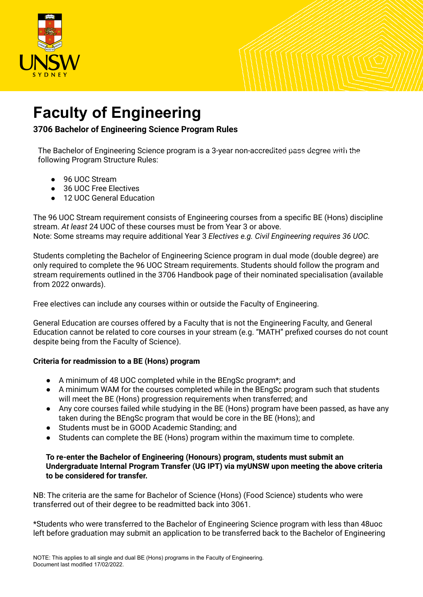

## **Faculty of Engineering**

**3706 Bachelor of Engineering Science Program Rules**

The Bachelor of Engineering Science program is a 3-year non-accredited pass degree with the following Program Structure Rules:

- 96 UOC Stream
- 36 UOC Free Electives
- 12 UOC General Education

The 96 UOC Stream requirement consists of Engineering courses from a specific BE (Hons) discipline stream. *At least* 24 UOC of these courses must be from Year 3 or above. Note: Some streams may require additional Year 3 *Electives e.g. Civil Engineering requires 36 UOC.*

Students completing the Bachelor of Engineering Science program in dual mode (double degree) are only required to complete the 96 UOC Stream requirements. Students should follow the program and stream requirements outlined in the 3706 Handbook page of their nominated specialisation (available from 2022 onwards).

Free electives can include any courses within or outside the Faculty of Engineering.

General Education are courses offered by a Faculty that is not the Engineering Faculty, and General Education cannot be related to core courses in your stream (e.g. "MATH" prefixed courses do not count despite being from the Faculty of Science).

## **Criteria for readmission to a BE (Hons) program**

- A minimum of 48 UOC completed while in the BEngSc program\*; and
- A minimum WAM for the courses completed while in the BEngSc program such that students will meet the BE (Hons) progression requirements when transferred; and
- Any core courses failed while studying in the BE (Hons) program have been passed, as have any taken during the BEngSc program that would be core in the BE (Hons); and
- Students must be in GOOD Academic Standing; and
- Students can complete the BE (Hons) program within the maximum time to complete.

## **To re-enter the Bachelor of Engineering (Honours) program, students must submit an Undergraduate Internal Program Transfer (UG IPT) via myUNSW upon meeting the above criteria to be considered for transfer.**

NB: The criteria are the same for Bachelor of Science (Hons) (Food Science) students who were transferred out of their degree to be readmitted back into 3061.

\*Students who were transferred to the Bachelor of Engineering Science program with less than 48uoc left before graduation may submit an application to be transferred back to the Bachelor of Engineering